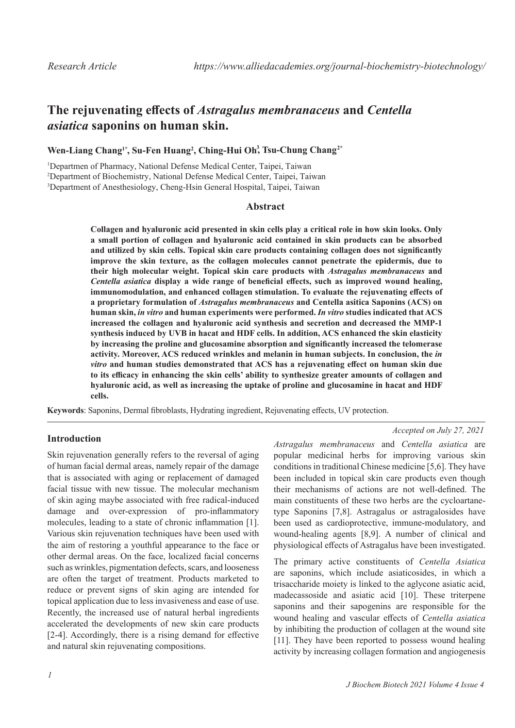# **The rejuvenating effects of** *Astragalus membranaceus* **and** *Centella asiatica* **saponins on human skin.**

# **Wen-Liang Chang1\*, Su-Fen Huang2 , Ching-Hui Oh3 , Tsu-Chung Chang2\***

<sup>1</sup>Departmen of Pharmacy, National Defense Medical Center, Taipei, Taiwan 2 Department of Biochemistry, National Defense Medical Center, Taipei, Taiwan 3 Department of Anesthesiology, Cheng-Hsin General Hospital, Taipei, Taiwan

## **Abstract**

**Collagen and hyaluronic acid presented in skin cells play a critical role in how skin looks. Only a small portion of collagen and hyaluronic acid contained in skin products can be absorbed and utilized by skin cells. Topical skin care products containing collagen does not significantly improve the skin texture, as the collagen molecules cannot penetrate the epidermis, due to their high molecular weight. Topical skin care products with** *Astragalus membranaceus* **and**  *Centella asiatica* **display a wide range of beneficial effects, such as improved wound healing, immunomodulation, and enhanced collagen stimulation. To evaluate the rejuvenating effects of a proprietary formulation of** *Astragalus membranaceus* **and Centella asitica Saponins (ACS) on human skin,** *in vitro* **and human experiments were performed.** *In vitro* **studies indicated that ACS increased the collagen and hyaluronic acid synthesis and secretion and decreased the MMP-1 synthesis induced by UVB in hacat and HDF cells. In addition, ACS enhanced the skin elasticity by increasing the proline and glucosamine absorption and significantly increased the telomerase activity. Moreover, ACS reduced wrinkles and melanin in human subjects. In conclusion, the** *in vitro* **and human studies demonstrated that ACS has a rejuvenating effect on human skin due to its efficacy in enhancing the skin cells' ability to synthesize greater amounts of collagen and hyaluronic acid, as well as increasing the uptake of proline and glucosamine in hacat and HDF cells.**

**Keywords**: Saponins, Dermal fibroblasts, Hydrating ingredient, Rejuvenating effects, UV protection.

# **Introduction**

Skin rejuvenation generally refers to the reversal of aging of human facial dermal areas, namely repair of the damage that is associated with aging or replacement of damaged facial tissue with new tissue. The molecular mechanism of skin aging maybe associated with free radical-induced damage and over-expression of pro-inflammatory molecules, leading to a state of chronic inflammation [1]. Various skin rejuvenation techniques have been used with the aim of restoring a youthful appearance to the face or other dermal areas. On the face, localized facial concerns such as wrinkles, pigmentation defects, scars, and looseness are often the target of treatment. Products marketed to reduce or prevent signs of skin aging are intended for topical application due to less invasiveness and ease of use. Recently, the increased use of natural herbal ingredients accelerated the developments of new skin care products [2-4]. Accordingly, there is a rising demand for effective and natural skin rejuvenating compositions.

*Accepted on July 27, 2021*

*Astragalus membranaceus* and *Centella asiatica* are popular medicinal herbs for improving various skin conditions in traditional Chinese medicine [5,6]. They have been included in topical skin care products even though their mechanisms of actions are not well-defined. The main constituents of these two herbs are the cycloartanetype Saponins [7,8]. Astragalus or astragalosides have been used as cardioprotective, immune-modulatory, and wound-healing agents [8,9]. A number of clinical and physiological effects of Astragalus have been investigated.

The primary active constituents of *Centella Asiatica* are saponins, which include asiaticosides, in which a trisaccharide moiety is linked to the aglycone asiatic acid, madecassoside and asiatic acid [10]. These triterpene saponins and their sapogenins are responsible for the wound healing and vascular effects of *Centella asiatica* by inhibiting the production of collagen at the wound site [11]. They have been reported to possess wound healing activity by increasing collagen formation and angiogenesis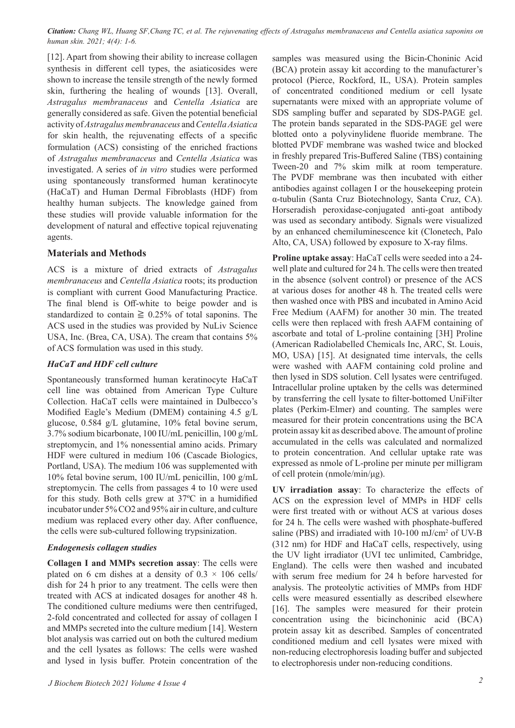*Citation: Chang WL, Huang SF,Chang TC, et al. The rejuvenating effects of Astragalus membranaceus and Centella asiatica saponins on human skin. 2021; 4(4): 1-6.*

[12]. Apart from showing their ability to increase collagen synthesis in different cell types, the asiaticosides were shown to increase the tensile strength of the newly formed *Astragalus membranaceus* and *Centella Asiatica* are generally considered as safe. Given the potential beneficial activity of *Astragalus membranaceus* and *Centella Asiatica* for skin health, the rejuvenating effects of a specific formulation (ACS) consisting of the enriched fractions of *Astragalus membranaceus* and *Centella Asiatica* was investigated. A series of *in vitro* studies were performed using spontaneously transformed human keratinocyte (HaCaT) and Human Dermal Fibroblasts (HDF) from healthy human subjects. The knowledge gained from these studies will provide valuable information for the development of natural and effective topical rejuvenating agents. skin, furthering the healing of wounds [13]. Overall,

# **Materials and Methods**

ACS is a mixture of dried extracts of *Astragalus membranaceus* and *Centella Asiatica* roots; its production is compliant with current Good Manufacturing Practice. The final blend is Off-white to beige powder and is standardized to contain  $\geq 0.25\%$  of total saponins. The ACS used in the studies was provided by NuLiv Science USA, Inc. (Brea, CA, USA). The cream that contains 5% of ACS formulation was used in this study.

## *HaCaT and HDF cell culture*

Spontaneously transformed human keratinocyte HaCaT cell line was obtained from American Type Culture Collection. HaCaT cells were maintained in Dulbecco's Modified Eagle's Medium (DMEM) containing 4.5 g/L glucose, 0.584 g/L glutamine, 10% fetal bovine serum, 3.7% sodium bicarbonate, 100 IU/mL penicillin, 100 g/mL streptomycin, and 1% nonessential amino acids. Primary HDF were cultured in medium 106 (Cascade Biologics, Portland, USA). The medium 106 was supplemented with 10% fetal bovine serum, 100 IU/mL penicillin, 100 g/mL streptomycin. The cells from passages 4 to 10 were used for this study. Both cells grew at 37ºC in a humidified incubator under 5% CO2 and 95% air in culture, and culture medium was replaced every other day. After confluence, the cells were sub-cultured following trypsinization.

# *Endogenesis collagen studies*

**Collagen I and MMPs secretion assay**: The cells were plated on 6 cm dishes at a density of  $0.3 \times 106$  cells/ dish for 24 h prior to any treatment. The cells were then treated with ACS at indicated dosages for another 48 h. The conditioned culture mediums were then centrifuged, 2-fold concentrated and collected for assay of collagen I and MMPs secreted into the culture medium [14]. Western blot analysis was carried out on both the cultured medium and the cell lysates as follows: The cells were washed and lysed in lysis buffer. Protein concentration of the samples was measured using the Bicin-Choninic Acid (BCA) protein assay kit according to the manufacturer's protocol (Pierce, Rockford, IL, USA). Protein samples of concentrated conditioned medium or cell lysate supernatants were mixed with an appropriate volume of SDS sampling buffer and separated by SDS-PAGE gel. The protein bands separated in the SDS-PAGE gel were blotted onto a polyvinylidene fluoride membrane. The blotted PVDF membrane was washed twice and blocked in freshly prepared Tris-Buffered Saline (TBS) containing Tween-20 and 7% skim milk at room temperature. The PVDF membrane was then incubated with either antibodies against collagen I or the housekeeping protein α-tubulin (Santa Cruz Biotechnology, Santa Cruz, CA). Horseradish peroxidase-conjugated anti-goat antibody was used as secondary antibody. Signals were visualized by an enhanced chemiluminescence kit (Clonetech, Palo Alto, CA, USA) followed by exposure to X-ray films.

**Proline uptake assay**: HaCaT cells were seeded into a 24 well plate and cultured for 24 h. The cells were then treated in the absence (solvent control) or presence of the ACS at various doses for another 48 h. The treated cells were then washed once with PBS and incubated in Amino Acid Free Medium (AAFM) for another 30 min. The treated cells were then replaced with fresh AAFM containing of ascorbate and total of L-proline containing [3H] Proline (American Radiolabelled Chemicals Inc, ARC, St. Louis, MO, USA) [15]. At designated time intervals, the cells were washed with AAFM containing cold proline and then lysed in SDS solution. Cell lysates were centrifuged. Intracellular proline uptaken by the cells was determined by transferring the cell lysate to filter-bottomed UniFilter plates (Perkim-Elmer) and counting. The samples were measured for their protein concentrations using the BCA protein assay kit as described above. The amount of proline accumulated in the cells was calculated and normalized to protein concentration. And cellular uptake rate was expressed as nmole of L-proline per minute per milligram of cell protein (nmole/min/μg).

**UV irradiation assay**: To characterize the effects of ACS on the expression level of MMPs in HDF cells were first treated with or without ACS at various doses for 24 h. The cells were washed with phosphate-buffered saline (PBS) and irradiated with 10-100 mJ/cm<sup>2</sup> of UV-B (312 nm) for HDF and HaCaT cells, respectively, using the UV light irradiator (UVI tec unlimited, Cambridge, England). The cells were then washed and incubated with serum free medium for 24 h before harvested for analysis. The proteolytic activities of MMPs from HDF cells were measured essentially as described elsewhere [16]. The samples were measured for their protein concentration using the bicinchoninic acid (BCA) protein assay kit as described. Samples of concentrated conditioned medium and cell lysates were mixed with non-reducing electrophoresis loading buffer and subjected to electrophoresis under non-reducing conditions.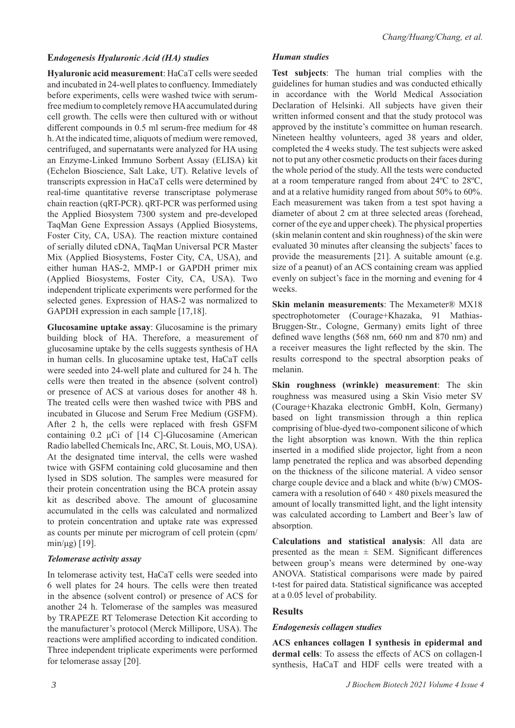## **E***ndogenesis Hyaluronic Acid (HA) studies*

**Hyaluronic acid measurement**: HaCaT cells were seeded and incubated in 24-well plates to confluency. Immediately before experiments, cells were washed twice with serumfree medium to completely remove HA accumulated during cell growth. The cells were then cultured with or without different compounds in 0.5 ml serum-free medium for 48 h. At the indicated time, aliquots of medium were removed, centrifuged, and supernatants were analyzed for HA using an Enzyme-Linked Immuno Sorbent Assay (ELISA) kit (Echelon Bioscience, Salt Lake, UT). Relative levels of transcripts expression in HaCaT cells were determined by real-time quantitative reverse transcriptase polymerase chain reaction (qRT-PCR). qRT-PCR was performed using the Applied Biosystem 7300 system and pre-developed TaqMan Gene Expression Assays (Applied Biosystems, Foster City, CA, USA). The reaction mixture contained of serially diluted cDNA, TaqMan Universal PCR Master Mix (Applied Biosystems, Foster City, CA, USA), and either human HAS-2, MMP-1 or GAPDH primer mix (Applied Biosystems, Foster City, CA, USA). Two independent triplicate experiments were performed for the selected genes. Expression of HAS-2 was normalized to GAPDH expression in each sample [17,18].

**Glucosamine uptake assay**: Glucosamine is the primary building block of HA. Therefore, a measurement of glucosamine uptake by the cells suggests synthesis of HA in human cells. In glucosamine uptake test, HaCaT cells were seeded into 24-well plate and cultured for 24 h. The cells were then treated in the absence (solvent control) or presence of ACS at various doses for another 48 h. The treated cells were then washed twice with PBS and incubated in Glucose and Serum Free Medium (GSFM). After 2 h, the cells were replaced with fresh GSFM containing 0.2 μCi of [14 C]-Glucosamine (American Radio labelled Chemicals Inc, ARC, St. Louis, MO, USA). At the designated time interval, the cells were washed twice with GSFM containing cold glucosamine and then lysed in SDS solution. The samples were measured for their protein concentration using the BCA protein assay kit as described above. The amount of glucosamine accumulated in the cells was calculated and normalized to protein concentration and uptake rate was expressed as counts per minute per microgram of cell protein (cpm/ min/μg) [19].

### *Telomerase activity assay*

In telomerase activity test, HaCaT cells were seeded into 6 well plates for 24 hours. The cells were then treated in the absence (solvent control) or presence of ACS for another 24 h. Telomerase of the samples was measured by TRAPEZE RT Telomerase Detection Kit according to the manufacturer's protocol (Merck Millipore, USA). The reactions were amplified according to indicated condition. Three independent triplicate experiments were performed for telomerase assay [20].

#### *Human studies*

**Test subjects**: The human trial complies with the guidelines for human studies and was conducted ethically in accordance with the World Medical Association Declaration of Helsinki. All subjects have given their written informed consent and that the study protocol was approved by the institute's committee on human research. Nineteen healthy volunteers, aged 38 years and older, completed the 4 weeks study. The test subjects were asked not to put any other cosmetic products on their faces during the whole period of the study. All the tests were conducted at a room temperature ranged from about 24ºC to 28ºC, and at a relative humidity ranged from about 50% to 60%. Each measurement was taken from a test spot having a diameter of about 2 cm at three selected areas (forehead, corner of the eye and upper cheek). The physical properties (skin melanin content and skin roughness) of the skin were evaluated 30 minutes after cleansing the subjects' faces to provide the measurements [21]. A suitable amount (e.g. size of a peanut) of an ACS containing cream was applied evenly on subject's face in the morning and evening for 4 weeks.

**Skin melanin measurements**: The Mexameter® MX18 spectrophotometer (Courage+Khazaka, 91 Mathias-Bruggen-Str., Cologne, Germany) emits light of three defined wave lengths (568 nm, 660 nm and 870 nm) and a receiver measures the light reflected by the skin. The results correspond to the spectral absorption peaks of melanin.

**Skin roughness (wrinkle) measurement**: The skin roughness was measured using a Skin Visio meter SV (Courage+Khazaka electronic GmbH, Koln, Germany) based on light transmission through a thin replica comprising of blue-dyed two-component silicone of which the light absorption was known. With the thin replica inserted in a modified slide projector, light from a neon lamp penetrated the replica and was absorbed depending on the thickness of the silicone material. A video sensor charge couple device and a black and white (b/w) CMOScamera with a resolution of  $640 \times 480$  pixels measured the amount of locally transmitted light, and the light intensity was calculated according to Lambert and Beer's law of absorption.

**Calculations and statistical analysis**: All data are presented as the mean  $\pm$  SEM. Significant differences between group's means were determined by one-way ANOVA. Statistical comparisons were made by paired t-test for paired data. Statistical significance was accepted at a 0.05 level of probability.

# **Results**

### *Endogenesis collagen studies*

**ACS enhances collagen I synthesis in epidermal and dermal cells**: To assess the effects of ACS on collagen-I synthesis, HaCaT and HDF cells were treated with a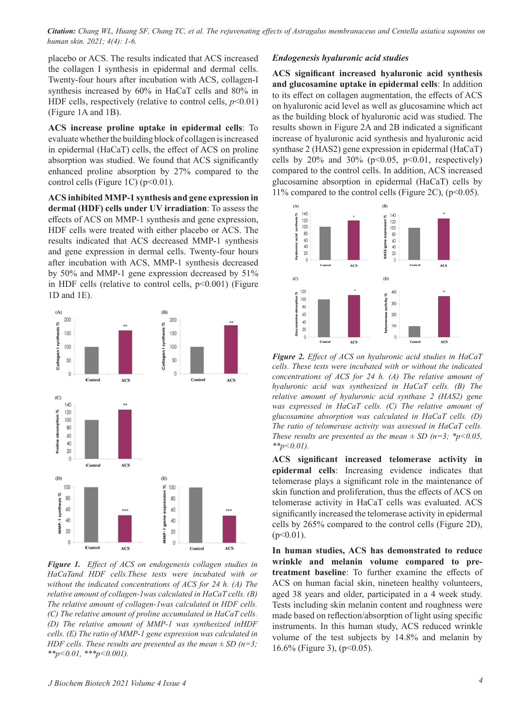*Citation: Chang WL, Huang SF, Chang TC, et al. The rejuvenating effects of Astragalus membranaceus and Centella asiatica saponins on human skin. 2021; 4(4): 1-6.*

placebo or ACS. The results indicated that ACS increased the collagen I synthesis in epidermal and dermal cells. Twenty-four hours after incubation with ACS, collagen-I synthesis increased by 60% in HaCaT cells and 80% in HDF cells, respectively (relative to control cells,  $p<0.01$ ) (Figure 1A and 1B).

**ACS increase proline uptake in epidermal cells**: To evaluate whether the building block of collagen is increased in epidermal (HaCaT) cells, the effect of ACS on proline absorption was studied. We found that ACS significantly enhanced proline absorption by 27% compared to the control cells (Figure 1C) ( $p<0.01$ ).

**ACS inhibited MMP-1 synthesis and gene expression in dermal (HDF) cells under UV irradiation**: To assess the effects of ACS on MMP-1 synthesis and gene expression, HDF cells were treated with either placebo or ACS. The results indicated that ACS decreased MMP-1 synthesis and gene expression in dermal cells. Twenty-four hours after incubation with ACS, MMP-1 synthesis decreased by 50% and MMP-1 gene expression decreased by 51% in HDF cells (relative to control cells,  $p<0.001$ ) (Figure 1D and 1E).



*Figure 1. Effect of ACS on endogenesis collagen studies in HaCaTand HDF cells.These tests were incubated with or without the indicated concentrations of ACS for 24 h. (A) The relative amount of collagen-1was calculated in HaCaT cells. (B) The relative amount of collagen-1was calculated in HDF cells. (C) The relative amount of proline accumulated in HaCaT cells. (D) The relative amount of MMP-1 was synthesized inHDF cells. (E) The ratio of MMP-1 gene expression was calculated in HDF cells. These results are presented as the mean ± SD (n=3; \*\*p<0.01, \*\*\*p<0.001).*

#### *Endogenesis hyaluronic acid studies*

**ACS significant increased hyaluronic acid synthesis and glucosamine uptake in epidermal cells**: In addition to its effect on collagen augmentation, the effects of ACS on hyaluronic acid level as well as glucosamine which act as the building block of hyaluronic acid was studied. The results shown in Figure 2A and 2B indicated a significant increase of hyaluronic acid synthesis and hyaluronic acid synthase 2 (HAS2) gene expression in epidermal (HaCaT) cells by  $20\%$  and  $30\%$  (p<0.05, p<0.01, respectively) compared to the control cells. In addition, ACS increased glucosamine absorption in epidermal (HaCaT) cells by 11% compared to the control cells (Figure 2C),  $(p<0.05)$ .



*Figure 2. Effect of ACS on hyaluronic acid studies in HaCaT cells. These tests were incubated with or without the indicated concentrations of ACS for 24 h. (A) The relative amount of hyaluronic acid was synthesized in HaCaT cells. (B) The relative amount of hyaluronic acid synthase 2 (HAS2) gene was expressed in HaCaT cells. (C) The relative amount of glucosamine absorption was calculated in HaCaT cells. (D) The ratio of telomerase activity was assessed in HaCaT cells. These results are presented as the mean*  $\pm$  *SD* (*n*=3; \**p*<0.05, *\*\*p<0.01).*

**ACS significant increased telomerase activity in epidermal cells**: Increasing evidence indicates that telomerase plays a significant role in the maintenance of skin function and proliferation, thus the effects of ACS on telomerase activity in HaCaT cells was evaluated. ACS significantly increased the telomerase activity in epidermal cells by 265% compared to the control cells (Figure 2D),  $(p<0.01)$ .

**In human studies, ACS has demonstrated to reduce wrinkle and melanin volume compared to pretreatment baseline**: To further examine the effects of ACS on human facial skin, nineteen healthy volunteers, aged 38 years and older, participated in a 4 week study. Tests including skin melanin content and roughness were made based on reflection/absorption of light using specific instruments. In this human study, ACS reduced wrinkle volume of the test subjects by 14.8% and melanin by 16.6% (Figure 3), (p<0.05).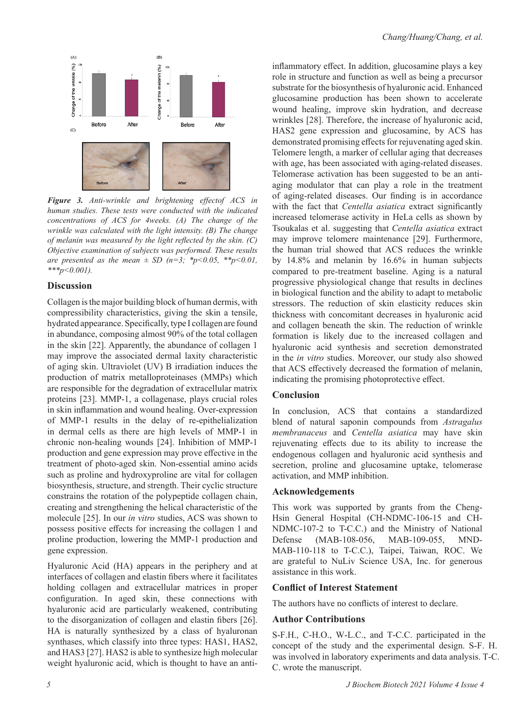

*Figure 3. Anti-wrinkle and brightening effectof ACS in human studies. These tests were conducted with the indicated concentrations of ACS for 4weeks. (A) The change of the wrinkle was calculated with the light intensity. (B) The change of melanin was measured by the light reflected by the skin. (C) Objective examination of subjects was performed. These results are presented as the mean*  $\pm$  *SD* (*n*=3; \**p*<0.05, \*\**p*<0.01, *\*\*\*p<0.001).*

### **Discussion**

Collagen is the major building block of human dermis, with compressibility characteristics, giving the skin a tensile, hydrated appearance. Specifically, type I collagen are found in abundance, composing almost 90% of the total collagen in the skin [22]. Apparently, the abundance of collagen 1 may improve the associated dermal laxity characteristic of aging skin. Ultraviolet (UV) B irradiation induces the production of matrix metalloproteinases (MMPs) which are responsible for the degradation of extracellular matrix proteins [23]. MMP-1, a collagenase, plays crucial roles in skin inflammation and wound healing. Over-expression of MMP-1 results in the delay of re-epithelialization in dermal cells as there are high levels of MMP-1 in chronic non-healing wounds [24]. Inhibition of MMP-1 production and gene expression may prove effective in the treatment of photo-aged skin. Non-essential amino acids such as proline and hydroxyproline are vital for collagen biosynthesis, structure, and strength. Their cyclic structure constrains the rotation of the polypeptide collagen chain, creating and strengthening the helical characteristic of the molecule [25]. In our *in vitro* studies, ACS was shown to possess positive effects for increasing the collagen 1 and proline production, lowering the MMP-1 production and gene expression.

Hyaluronic Acid (HA) appears in the periphery and at interfaces of collagen and elastin fibers where it facilitates holding collagen and extracellular matrices in proper configuration. In aged skin, these connections with hyaluronic acid are particularly weakened, contributing to the disorganization of collagen and elastin fibers [26]. HA is naturally synthesized by a class of hyaluronan synthases, which classify into three types: HAS1, HAS2, and HAS3 [27]. HAS2 is able to synthesize high molecular weight hyaluronic acid, which is thought to have an anti-

inflammatory effect. In addition, glucosamine plays a key role in structure and function as well as being a precursor substrate for the biosynthesis of hyaluronic acid. Enhanced glucosamine production has been shown to accelerate wound healing, improve skin hydration, and decrease wrinkles [28]. Therefore, the increase of hyaluronic acid, HAS2 gene expression and glucosamine, by ACS has demonstrated promising effects for rejuvenating aged skin. Telomere length, a marker of cellular aging that decreases with age, has been associated with aging-related diseases. Telomerase activation has been suggested to be an antiaging modulator that can play a role in the treatment of aging-related diseases. Our finding is in accordance with the fact that *Centella asiatica* extract significantly increased telomerase activity in HeLa cells as shown by Tsoukalas et al. suggesting that *Centella asiatica* extract may improve telomere maintenance [29]. Furthermore, the human trial showed that ACS reduces the wrinkle by 14.8% and melanin by 16.6% in human subjects compared to pre-treatment baseline. Aging is a natural progressive physiological change that results in declines in biological function and the ability to adapt to metabolic stressors. The reduction of skin elasticity reduces skin thickness with concomitant decreases in hyaluronic acid and collagen beneath the skin. The reduction of wrinkle formation is likely due to the increased collagen and hyaluronic acid synthesis and secretion demonstrated in the *in vitro* studies. Moreover, our study also showed that ACS effectively decreased the formation of melanin, indicating the promising photoprotective effect.

# **Conclusion**

In conclusion, ACS that contains a standardized blend of natural saponin compounds from *Astragalus membranaceus* and *Centella asiatica* may have skin rejuvenating effects due to its ability to increase the endogenous collagen and hyaluronic acid synthesis and secretion, proline and glucosamine uptake, telomerase activation, and MMP inhibition.

## **Acknowledgements**

This work was supported by grants from the Cheng-Hsin General Hospital (CH-NDMC-106-15 and CH-NDMC-107-2 to T-C.C.) and the Ministry of National Defense (MAB-108-056, MAB-109-055, MND-MAB-110-118 to T-C.C.), Taipei, Taiwan, ROC. We are grateful to NuLiv Science USA, Inc. for generous assistance in this work.

#### **Conflict of Interest Statement**

The authors have no conflicts of interest to declare.

# **Author Contributions**

S-F.H., C-H.O., W-L.C., and T-C.C. participated in the concept of the study and the experimental design. S-F. H. was involved in laboratory experiments and data analysis. T-C. C. wrote the manuscript.